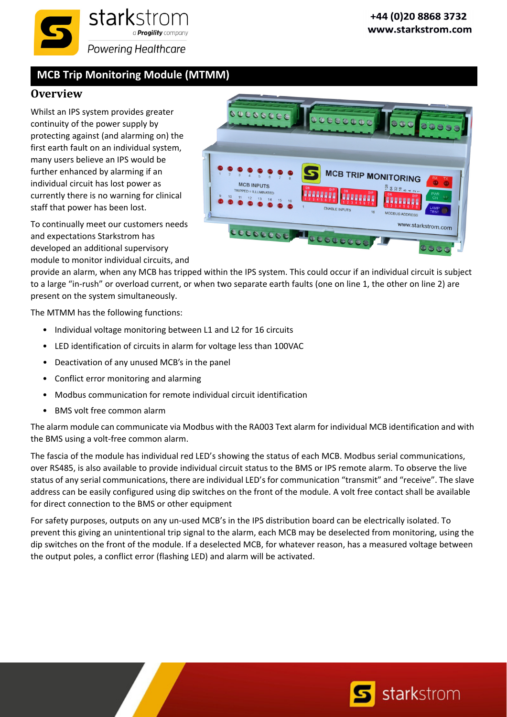

## **MCB Trip Monitoring Module (MTMM)**

## **Overview**

Whilst an IPS system provides greater continuity of the power supply by protecting against (and alarming on) the first earth fault on an individual system, many users believe an IPS would be further enhanced by alarming if an individual circuit has lost power as currently there is no warning for clinical staff that power has been lost.

To continually meet our customers needs and expectations Starkstrom has developed an additional supervisory module to monitor individual circuits, and



provide an alarm, when any MCB has tripped within the IPS system. This could occur if an individual circuit is subject to a large "in-rush" or overload current, or when two separate earth faults (one on line 1, the other on line 2) are present on the system simultaneously.

The MTMM has the following functions:

- Individual voltage monitoring between L1 and L2 for 16 circuits
- LED identification of circuits in alarm for voltage less than 100VAC
- Deactivation of any unused MCB's in the panel
- Conflict error monitoring and alarming
- Modbus communication for remote individual circuit identification
- BMS volt free common alarm

The alarm module can communicate via Modbus with the RA003 Text alarm for individual MCB identification and with the BMS using a volt‐free common alarm.

The fascia of the module has individual red LED's showing the status of each MCB. Modbus serial communications, over RS485, is also available to provide individual circuit status to the BMS or IPS remote alarm. To observe the live status of any serial communications, there are individual LED's for communication "transmit" and "receive". The slave address can be easily configured using dip switches on the front of the module. A volt free contact shall be available for direct connection to the BMS or other equipment

For safety purposes, outputs on any un‐used MCB's in the IPS distribution board can be electrically isolated. To prevent this giving an unintentional trip signal to the alarm, each MCB may be deselected from monitoring, using the dip switches on the front of the module. If a deselected MCB, for whatever reason, has a measured voltage between the output poles, a conflict error (flashing LED) and alarm will be activated.